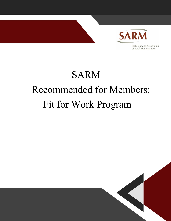

# **SARM** Opening statement from SARM SARM champions the value of rural Saskatchewan. We understand the integral role of Fit for Work Program

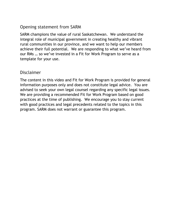### Opening statement from SARM

SARM champions the value of rural Saskatchewan. We understand the integral role of municipal government in creating healthy and vibrant rural communities in our province, and we want to help our members achieve their full potential. We are responding to what we've heard from our RMs … so we've invested in a Fit for Work Program to serve as a template for your use.

### Disclaimer

The content in this video and Fit for Work Program is provided for general information purposes only and does not constitute legal advice. You are advised to seek your own legal counsel regarding any specific legal issues. We are providing a recommended Fit for Work Program based on good practices at the time of publishing. We encourage you to stay current with good practices and legal precedents related to the topics in this program. SARM does not warrant or guarantee this program.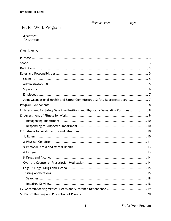| <b>Fit for Work Program</b> | <b>Effective Date:</b> | Page: |
|-----------------------------|------------------------|-------|
| Department                  |                        |       |
| <b>File Location</b>        |                        |       |

# Contents

| Joint Occupational Health and Safety Committees / Safety Representatives  7        |
|------------------------------------------------------------------------------------|
|                                                                                    |
| I: Assessment for Safety Sensitive Positions and Physically Demanding Positions  8 |
|                                                                                    |
|                                                                                    |
|                                                                                    |
|                                                                                    |
|                                                                                    |
|                                                                                    |
|                                                                                    |
|                                                                                    |
|                                                                                    |
|                                                                                    |
|                                                                                    |
|                                                                                    |
|                                                                                    |
|                                                                                    |
|                                                                                    |
|                                                                                    |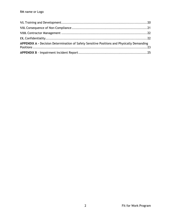| APPENDIX A - Decision Determination of Safety Sensitive Positions and Physically Demanding |  |
|--------------------------------------------------------------------------------------------|--|
|                                                                                            |  |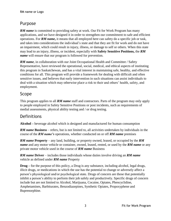# <span id="page-4-0"></span>Purpose

**RM name** is committed to providing safety at work. Our Fit for Work Program has many applications, and we have designed it in order to strengthen our commitment to safe and efficient operations. For *RM name***,** it means that all employed here can safety do a specific job or task, and takes into considerations the individual's state and that they are fit for work and do not have an impairment, which could result in injury, illness, or damage to self or others. When this state may lead to an injury, illness, or incident, especially with **Safety Sensitive Positions,** the *RM name* will ensure that our program is followed for prevention.

*RM name*, in collaboration with our Joint Occupational Health and Committee / Safety Representative, have reviewed the operational, social, medical, and ethical aspects of instituting this program in Saskatchewan, and has a vital interest in maintaining safe, healthy, and effective conditions for all. This program will provide a framework for dealing with difficult and often sensitive issues, and believes that early intervention in such situations can assist individuals to deal with a situation which may otherwise place a risk to their and others' health, safety, and employment.

### <span id="page-4-1"></span>Scope

This program applies to all *RM name* staff and contractors. Parts of the program may only apply to people employed in Safety Sensitive Positions or post incidents, such as requirements of medial assessments, physical ability testing and / or drug testing.

# <span id="page-4-2"></span>Definitions

**Alcohol –** beverage alcohol which is designed and manufactured for human consumption

*RM name* **Business** – refers, but is not limited to, all activities undertaken by individuals in the course of the *RM name's* operations, whether conducted on or off *RM name* premises

*RM name* **Property** – any land, building, or property owned, leased, or occupied by the *RM name* and any motor vehicle or container, owned, leased, rented, or used by the *RM name* or any private motor vehicle used in the course of *RM name* Business

*RM name* **Driver** – includes those individuals whose duties involve driving an *RM name* vehicle as defined under *RM name* Property

**Drug –** for the purpose of this policy, a Drug is any substance, including alcohol, legal drugs, illicit drugs, or medications in which the use has the potential to change or adversely affect a person's physiological and/or psychological state. Drugs of concern are those that potentially inhibit a person's ability to perform their job safely and productively. Specific drugs of concern include but are not limited to Alcohol, Marijuana, Cocaine, Opiates, Phencyclidine, Amphetamines, Barbiturates, Benzodiazepines, Synthetic Opiates, Propoxyphene and Buprenorphine.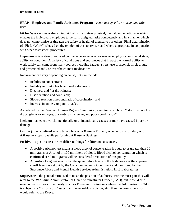#### **EFAP – Employee and Family Assistance Program –** *reference specific program and title here.*

**Fit for Work** – means that an individual is in a state – physical, mental, and emotional – which enables the individual / employee to perform assigned tasks competently and in a manner which does not compromise or threaten the safety or health of themselves or others. Final determination of "Fit for Work" is based on the opinion of the supervisor, and where appropriate in conjunction with other assessment procedures.

**Impairment** is a state of reduced competence, or reduced or weakened physical or mental state, ability, or condition. A variety of conditions and substances that impact the normal ability to work safely can come from many sources including fatigue, stress, use of alcohol, illicit drugs, and prescribed and / or over the counter medications.

Impairment can vary depending on cause, but can include:

- Inability to concentrate;
- Inability to think clearly and make decisions;
- Dizziness and / or drowsiness;
- Disorientation and confusion:
- Slowed reaction times and lack of coordination; and
- Increase in anxiety or panic attacks.

As defined by the Canadian Human Rights Commission, symptoms can be an "odor of alcohol or drugs, glassy or red eyes, unsteady gait, slurring and poor coordination".

**Incident** – an event which intentionally or unintentionally causes or may have caused injury or damage.

**On the job** – is defined as any time while on *RM name* Property whether on or off duty or off *RM name* Property while performing *RM name* Business.

**Positive** – a positive test means different things for different substances.

- A positive Alcohol test means a blood alcohol concentration is equal to or greater than 20 milligrams of Alcohol in 100 milliliters of blood. Blood alcohol concentration which is confirmed at 40 milligrams will be considered a violation of this policy.
- A positive Drug test means that the quantitative levels in the body are over the approved cutoff levels as set out by the Canadian Federal Government and monitored by the Substance Abuse and Mental Health Services Administration, HHS Laboratories.

**Supervisor –** the general term used to mean the position of authority. For the most part this will refer to the *RM name* Administrator, or Chief Administrator Officer (CAO), but it could also mean other positions of authority, such as Foreman. In situations where the Administrator/CAO is subject to a "fit for work" assessment, reasonable suspicion, etc., then the term supervisor would refer to the Reeve.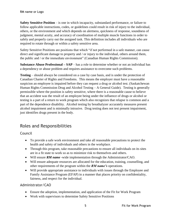**Safety Sensitive Position** – is one in which incapacity, substandard performance, or failure to follow applicable instructions, codes, or guidelines could result in risk of injury to the individual, others, or the environment and which depends on alertness, quickness of response, soundness of judgment, mental acuity, and accuracy of coordination of multiple muscle functions in order to safely and properly carry out the assigned task. This definition includes all individuals who are required to rotate through or within a safety sensitive area.

Safety Sensitive Positions are positions that which "if not performed in a safe manner, can cause direct and significant damage to property and / or injury to the individual, others around them, the public and / or the immediate environment" (Canadian Human Rights Commission).

**Substance Abuse Professional – SAP** – has a role to determine whether or not an individual has a dependency or abuse problem and requires assistance to overcome such problems.

**Testing** – should always be considered on a case by case basis, and is under the protection of Canadian Charter of Rights and Freedoms. This means the employer must have a reasonable suspicion an employee is impaired before they can request a drug or alcohol test. (Saskatchewan Human Rights Commission Drug and Alcohol Testing – A General Guide). Testing is generally permissible where the position is safety sensitive, where there is a reasonable cause to believe that an accident was the result of an employee being under the influence of drugs or alcohol or testing is a part of a return to work program which also recognizes that relapse is common and a part of the dependence disability. Alcohol testing by breathalyzer accurately measures present alcohol impairment and is minimally intrusive. Drug testing does not test present impairment, just identifies drugs present in the body.

# <span id="page-6-0"></span>Roles and Responsibilities

<span id="page-6-1"></span>Council

- To provide a safe work environment and take all reasonable precautions to protect the health and safety of individuals and others in the workplace.
- Through this program, take reasonable precautions to ensure all individuals on its sites are in a fit state to work so as to minimize risk to themselves and others.
- Will ensure *RM name* -wide implementation through the Administrator/CAO.
- Will ensure adequate resources are allocated for the education, training, counselling, and other requirements of the program within the *RM name's* operations.
- Will provide appropriate assistance to individuals with issues through the Employee and Family Assistance Program (EFAP) in a manner that places priority on confidentiality, fairness, and respect for the individual.

#### <span id="page-6-2"></span>Administrator/CAO

- Ensure the adoption, implementation, and application of the Fit for Work Program
- Work with supervisors to determine Safety Sensitive Positions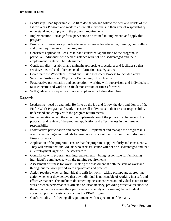- Leadership lead by example. Be fit to do the job and follow the do's and don'ts of the Fit for Work Program and work to ensure all individuals in their area of responsibility understand and comply with the program requirements
- Implementation arrange for supervisors to be trained in, implement, and apply this program
- Provision of resources provide adequate resources for education, training, counselling and other requirements of the program
- Consistent application ensure fair and consistent application of the program. In particular, individuals who seek assistance with not be disadvantaged and their employment rights will be safeguarded
- Confidentiality establish and maintain appropriate procedures and facilities so that sensitive medical and other personal information is safeguarded
- Coordinate the Workplace Hazard and Risk Assessment Process to include Safety Sensitive Positions and Physically Demanding Job inclusions
- Foster active participation and cooperation working with supervisors and individuals to raise concerns and work to a safe demonstration of fitness for work
- Will guide all consequences of non-compliance including discipline

#### <span id="page-7-0"></span>Supervisor

- Leadership lead by example. Be fit to do the job and follow the do's and don'ts of the Fit for Work Program and work to ensure all individuals in their area of responsibility understand and comply with the program requirements
- Implementation lead the effective implementation of the program, adherence to the program, and review of the program application and effectiveness in their area of responsibility
- Foster active participation and cooperation implement and manage the program in a way that encourages individuals to raise concerns about their own or other individuals' fitness for work
- Application of the program ensure that the program is applied fairly and consistently. They will ensure that individuals who seek assistance will not be disadvantaged and that all employment rights will be safeguarded
- Compliance with program training requirements being responsible for facilitating individual's complacence with the training requirements
- Assessment of fitness for work making the assessment at both the start of work and throughout the work period were appropriate and practical
- Action required when an individual is unfit for work taking prompt and appropriate action whenever they believe that any individual is not capable of working in a safe and effective manner. This includes documenting occasions when an individual is not fit for work or when performance is affected or unsatisfactory, providing effective feedback to the individual concerning their performance or safety and assisting the individual to access support and assistance such as the EFAP program
- Confidentiality following all requirements with respect to confidentiality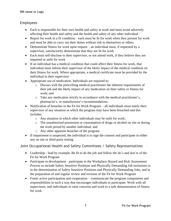#### <span id="page-8-0"></span>Employees

- Each is responsible for their own health and safety at work and must avoid adversely affecting their health and safety and the health and safety of any other individual
- Report for work in a fit condition each must be fit for work when they present for work and must be able to carry out their duties without risk to themselves or others
- Demonstrate fitness for work upon request an individual must, if requested by a supervisor, satisfactorily demonstrate that they are fit for work
- Each must self-disclose to their supervisor, or not attend work, if they believe they are impaired or unfit for work
- If an individual has a medical condition that could affect their fitness for work, that individual must inform their supervisor of the likely impact of the medical condition on their fitness for work. Where appropriate, a medical certificate must be provided by the individual to their supervisor
- Appropriate use of medication. Individuals are required to:
	- o Discuss with the prescribing medical practitioner the inherent requirements of their job and the likely impact of any medication on their safety or fitness for work; and
	- o Take any medication strictly in accordance with the medical practitioner's, pharmacist's, or manufacturer's recommendations.
- Notification of breaches in the Fit for Work Program all individuals must notify their supervisor of any situation in which the program may have been breached and this includes:
	- o Any situation in which other individuals may be unfit for work;
	- o The unauthorized possession or consumption of drugs or alcohol on site or during the work period by another individual; and
	- o Any other apparent breaches of the program.
- If impairment is suspected, the individual is to sign the consent and participate in either any on site or third-party testing.

<span id="page-8-1"></span>Joint Occupational Health and Safety Committees / Safety Representatives

- Leadership lead by example. Be fit to do the job and follow the do's and don'ts of the Fit for Work Program
- Participate in development participate in the Workplace Hazard and Risk Assessment Process to include Safety Sensitive Positions and Physically Demanding Job inclusions or in the determination of Safety Sensitive Positions and Physically Demanding Jobs, and in the preparation of and regular review and revision of the Fit for Work Program
- Foster active participation and cooperation communicate the program components and responsibilities in such a way that encourages individuals to participate. Work with all supervisors, and individuals to raise concerns and work to a safe demonstration of fitness for work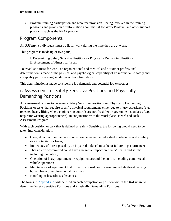• Program training participation and resource provision – being involved in the training programs and provision of information about the Fit for Work Program and other support programs such as the EFAP program

### <span id="page-9-0"></span>Program Components

All *RM name* individuals must be fit for work during the time they are at work.

This program is made up of two parts,

I. Determining Safety Sensitive Positions or Physically Demanding Positions II. Assessment of Fitness for Work

To establish fitness for work, an organizational and medical and / or other professional determination is made of the physical and psychological capability of an individual to safely and acceptably perform assigned duties without limitations.

This determination is made considering job demands and potential job exposures.

## <span id="page-9-1"></span>**I:** Assessment for Safety Sensitive Positions and Physically Demanding Positions

An assessment is done to determine Safety Sensitive Positions and Physically Demanding Positions or tasks that require specific physical requirements either due to injury experience (e.g. repeated heavy lifting where engineering controls are not feasible) or government standards (e.g. respirator wearing appropriateness), in conjunction with the Workplace Hazard and Risk Assessment Program.

With each position or task that is defined as Safety Sensitive, the following would need to be taken into consideration:

- Clear, direct, and immediate connection between the individual's job duties and a safety risk / potential for harm;
- Immediacy of threat posed by an impaired induced mistake or failure in performance;
- That an error committed could have a negative impact on others' health and safety including the public;
- Operation of heavy equipment or equipment around the public, including commercial vehicle operators;
- Maintenance of equipment that if malfunctioned could cause immediate threat causing human harm or environmental harm; and
- Handling of hazardous substances.

The forms in [Appendix A](#page-24-0) will be used on each occupation or position within the *RM name* to determine Safety Sensitive Positions and Physically Demanding Positions.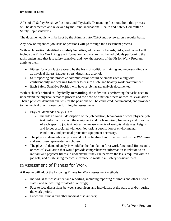A list of all Safety Sensitive Positions and Physically Demanding Positions from this process will be documented and reviewed by the Joint Occupational Health and Safety Committee / Safety Representatives.

The documented list will be kept by the Administrator/CAO and reviewed on a regular basis.

Any new or expanded job tasks or positions will go through the assessment process.

With each position identified as **Safety Sensitive,** education in hazards, risks, and control will include the Fit for Work Program information, and ensure that the individuals performing the tasks understand that it is safety sensitive, and how the aspects of the Fit for Work Program apply to them.

- Fitness for work factors would be the basis of additional training and understanding such as physical fitness, fatigue, stress, drugs, and alcohol.
- Self-reporting and proactive communication would be emphasized along with confidentiality and working together to ensure a safe and healthy work environment.
- Each Safety Sensitive Position will have a job hazard analysis documented.

With each task defined as **Physically Demanding**, the individuals performing the tasks need to understand the physical demands process and the need of function fitness or medical evaluation. Then a physical demands analysis for the positions will be conducted, documented, and provided to the medical practitioners performing the assessments.

- Physical demands analysis is to:
	- o Include an overall description of the job position, breakdown of each physical job task, information about the equipment and tools required, frequency and duration of each specific job task, objective measurements of weights, distances, heights, and forces associated with each job task, a description of environmental conditions, and personal protective equipment necessary.
- The physical demands analysis would not be finalized until it is verified by the *RM name* and employee representatives chosen.
- The physical demand analysis would be the foundation for a work functional fitness and / or medical evaluation that would provide comprehensive information in relation to an individual's physical fitness to understand if they can perform the tasks required within a job role, and establishing medical clearance to work in all safety sensitive roles.

### <span id="page-10-0"></span>**II:** Assessment of Fitness for Work

*RM name* will adopt the following Fitness for Work assessment methods:

- Individual self-assessment and reporting, including reporting of illness and other altered states, and self-testing for alcohol or drugs;
- Face to face discussions between supervisors and individuals at the start of and/or during the work period;
- Functional fitness and other medical assessments;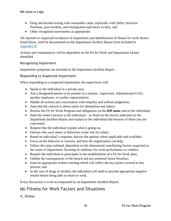- Drug and alcohol testing with reasonable cause, especially with Safety Sensitive Positions, post incident, and reintegration and return to duty; and
- Other recognized assessments as appropriate.

All reported or suspected incidences of impairment and identification of fitness for work factors listed below, shall be documented on the Impairment Incident Report form included in [Appendix](#page-25-0) B.

Actions and consequences will be dependent on the Fit for Work and Impairment factors identified.

#### <span id="page-11-0"></span>Recognizing Impairment

Impairment symptoms are included in the Impairment Incident Report.

<span id="page-11-1"></span>Responding to Suspected Impairment

When responding to a suspected impairment, the supervisors will:

- Speak to the individual in a private area;
- Ask a designated person to be present as a witness –supervisor, Administrator/CAO, another employee, or worker representative;
- Handle all actions and conversation with empathy and without judgement;
- State that the concern is about safety for themselves and others;
- Review the Fit for Work Program and obligations on the *RM name* and on the individual;
- State the noted concerns to the individual as listed on the factors indicated on the Impairment Incident Report and explain to the individual that because of those you are concerned;
- Request that the individual explain what is going on;
- Discuss why such states or behaviors create risk for safety;
- Based on individual's response, discuss the options where applicable and available;
- Focus on the behavior or concern, and how the organization can help;
- Follow the steps outlined, dependent on the determined contributing factors suspected as the cause of impairment, focusing on solutions for work performance or conduct;
- Require the individual to participate in the establishment of a Fit for Work plan;
- Outline the consequences of the breach and any potential future breaches;
- Issue an appropriate written warning which will reflect the key points covered in this process; and
- In the case of drugs or alcohol, the individual will need to provide appropriate negative results before being able to return to work.

Every discussion is to be accompanied by an Impairment Incident Report.

### <span id="page-11-2"></span>**III:** Fitness for Work Factors and Situations

<span id="page-11-3"></span>**1.** Illness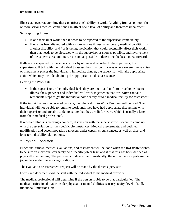Illness can occur at any time that can affect one's ability to work. Anything from a common flu or more serious medical conditions can affect one's level of ability and therefore impairment.

Self-reporting Illness

- If one feels ill at work, then it needs to be reported to the supervisor immediately.
- If one has been diagnosed with a more serious illness, a temporary medical condition, or another disability, and / or is taking medication that could potentially affect their work, then that needs to be discussed with the supervisor as soon as possible, and involvement of the supervisor should occur as soon as possible to determine the best course forward.

If illness is suspected by the supervisor or by others and reported to the supervisor, the supervisor will talk with the individual to assess the situation. In cases where severe illness exists or impairment places the individual in immediate danger, the supervisor will take appropriate action which may include obtaining the appropriate medical assistance.

#### Leaving the Work Site

• If the supervisor or the individual feels they are too ill and unfit to drive home due to illness, the supervisor and individual will work together so that *RM name* can take reasonable steps to get the individual home safely or to a medical facility for assessment.

If the individual was under medical care, then the Return to Work Program will be used. The individual will not be able to return to work until they have had appropriate discussions with their supervisor and are able to demonstrate that they are fit for work, which is usually a letter from their medical professional.

If repeated illness is creating a concern, discussion with the supervisor will occur to come up with the best solution for the specific circumstances. Medical assessments, and outlined modification and accommodation can occur under certain circumstances, as well as short and long-term disability plan options.

#### <span id="page-12-0"></span>**2.** Physical Condition

Functional fitness, medical evaluations, and assessment will be done when the *RM name* wishes to be sure an individual can safety do a specific job or task, and if that task has been defined as physically demanding. The purpose is to determine if, medically, the individual can perform the job or task under the working conditions.

The evaluation or assessment request will be made by the direct supervisor.

Forms and documents will be sent with the individual to the medical provider.

The medical professional will determine if the person is able to do that particular job. The medical professional may consider physical or mental abilities, sensory acuity, level of skill, functional limitations, etc.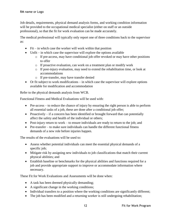Job details, requirements, physical demand analysis forms, and working condition information will be provided to the occupational medical specialist (either on staff or an outside professional), so that the fit for work evaluation can be made accurately.

The medical professional will typically only report one of three conditions back to the supervisor as:

- Fit in which case the worker will work within that position
- Unfit in which case the supervisor will explore the options available
	- o If pre-access, may have conditional job offer revoked or may have other positions to offer
	- o If proactive evaluation, can work on a treatment plan or modify work
	- o If post-injury evaluation, may need to extend the rehabilitation time, or look at accommodations
	- o If pre-transfer, may have transfer denied
- Or fit subject to work modifications in which case the supervisor will explore options available for modification and accommodation

Refer to the physical demands analysis from WCB.

Functional Fitness and Medical Evaluations will be used with:

- Pre-access to reduce the chance of injury by ensuring the right person is able to perform all essential tasks of a job, these are done after a conditional job offer;
- Proactively if a concern has been identified or brought forward that can potentially affect the safety and health of the individual or others;
- Post-injury return to work to ensure individuals are ready to return to the job; and
- Pre-transfer to make sure individuals can handle the different functional fitness demands of a new role before injuries happen.

The results of the evaluations will be used to:

- Assess whether potential individuals can meet the essential physical demands of a specific job;
- Mitigate risk by assigning new individuals to job classifications that match their current physical abilities; and
- Establish baseline or benchmarks for the physical abilities and functions required for a job and provide appropriate support to improve or accommodate information where necessary.

These Fit for Work Evaluations and Assessments will be done when:

- A task has been deemed physically demanding;
- A significant change in the working conditions;
- Individual transfers to a position where the working conditions are significantly different;
- The job has been modified and a returning worker is still undergoing rehabilitation;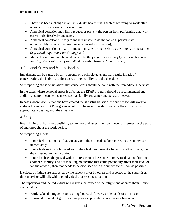- There has been a change in an individual's health status such as returning to work after recovery from a serious illness or injury;
- A medical condition may limit, reduce, or prevent the person from performing a new or current job effectively and safely;
- A medical condition is likely to make it unsafe to do the job (e.g. person may unpredictably become unconscious in a hazardous situation);
- A medical condition is likely to make it unsafe for themselves, co-workers, or the public *(e.g. visual impairment for driving)*; and
- Medical condition may be made worse by the job *(e.g. excessive physical exertion and wearing of a respirator by an individual with a heart or lung disorder)*.

#### <span id="page-14-0"></span>**3.** Personal Stress and Mental Health

Impairment can be caused by any personal or work related event that results in lack of concentration, the inability to do a task, or the inability to make decisions.

Self-reporting stress or situations that cause stress should be done with the immediate supervisor.

In the cases where personal stress is a factor, the EFAP program should be recommended and additional support can be discussed such as family assistance and access to leaves.

In cases where work situations have created the stressful situation, the supervisor will work to address the issues. EFAP programs would still be recommended to ensure the individual is appropriately dealing with the situation.

#### <span id="page-14-1"></span>**4.** Fatigue

Every individual has a responsibility to monitor and assess their own level of alertness at the start of and throughout the work period.

Self-reporting Illness

- If one feels symptoms of fatigue at work, then it needs to be reported to the supervisor immediately.
- If one feels seriously fatigued and if they feel they present a hazard to self or others, then they must not remain working.
- If one has been diagnosed with a more serious illness, a temporary medical condition or another disability, and / or is taking medication that could potentially affect their level of fatigue at work, then that needs to be discussed with the supervisor as soon as possible.

If effects of fatigue are suspected by the supervisor or by others and reported to the supervisor, the supervisor will talk with the individual to assess the situation.

The supervisor and the individual will discuss the causes of the fatigue and address them. Cause can be either:

- Work Related Fatigue such as long hours, shift work, or demands of the job; or
- Non-work related fatigue such as poor sleep or life events causing tiredness.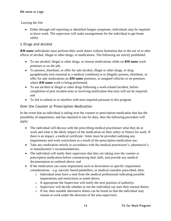Leaving the Site

• Either through self-reporting or identified fatigue symptoms, individuals may be required to leave work. The supervisor will make arrangements for the individual to get home safely.

#### <span id="page-15-0"></span>**5.** Drugs and Alcohol

*RM name* individuals must perform their work duties without limitation due to the use of or after effects of alcohol, illegal or other drugs, or medications. The following are strictly prohibited:

- To use alcohol, illegal or other drugs, or misuse medications while on *RM name* work premises or on the job;
- To possess, distribute, or offer for sale alcohol, illegal or other drugs, or drug paraphernalia (not essential to a medical condition) or to illegally possess, distribute, or offer for sale medications on *RM name* premises, in assigned vehicles or on premises where **RM** name work is being performed;
- To use alcohol or illegal or other drugs following a work-related incident, before completion of post incident tests or receiving notification that tests will not be required; and
- To fail to submit to or interfere with tests required pursuant to this program.

#### <span id="page-15-1"></span>Over the Counter or Prescription Medication

In the event that an individual is taking over the counter or prescription medication that has the possibility of impairment, and has reported to site for duty, then the following procedure will apply:

- The individual will discuss with the prescribing medical practitioner what they do at work and what is the likely impact of the medication on their safety or fitness for work. If there is an impact, a medical certificate / letter must be provided outlining any impairments and work restrictions as a result of the prescription medication use;
- Take any medication strictly in accordance with the medical practitioner's, pharmacist's, or manufacturer's recommendations;
- The individual will notify their supervisor that they are taking over the counter or prescription medication before commencing their shift, and provide any medical documentation as outlined above; and
- If the medication can cause impairment such as drowsiness or specific impairment considerations – e.g. narcotic based painkillers, or medical cannabis prescribed, then:
	- o Individual must have a note from the medical professional indicating possible impairments and restrictions as noted above;
	- o If appropriate the Supervisor will notify the next position of authority;
	- o Supervisor will decide whether or not the individual can start their normal duties;
	- $\circ$  If not, then suitable alternative duties can be found so that the individual may remain at work under the direction of the area supervisor;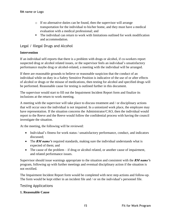- o If no alternative duties can be found, then the supervisor will arrange transportation for the individual to his/her home, and they must have a medical evaluation with a medical professional; and
- The individual can return to work with limitations outlined for work modification and accommodation.

#### <span id="page-16-0"></span>Legal / Illegal Drugs and Alcohol

#### **Intervention**

If an individual self-reports that there is a problem with drugs or alcohol, if co-workers report suspected drug or alcohol related issues, or the supervisor feels an individual's unsatisfactory performance maybe drug or alcohol-related, a meeting with the individual will be arranged.

If there are reasonable grounds to believe or reasonable suspicion that the conduct of an individual while on duty in a Safety Sensitive Position is indicative of the use of or after effects of alcohol or drugs or the misuse of medications, then testing for alcohol and specified drugs will be performed. Reasonable cause for testing is outlined further in this document.

The supervisor would start to fill out the Impairment Incident Report form and finalize its inclusions at the return to work meeting.

A meeting with the supervisor will take place to discuss treatment and / or disciplinary actions that will occur once the individual is not impaired. In a unionized work place, the employee may have representation. If the situation concerns the Administrator/CAO, then the individual would report to the Reeve and the Reeve would follow the confidential process with having the council investigate the situation.

At the meeting, the following will be reviewed:

- Individual's fitness for work status / unsatisfactory performance, conduct, and indicators discussed;
- The *RM name's* required standards, making sure the individual understands what is expected of them; and
- The cause of the problem if drug or alcohol related, or another cause of impairment, and related performance issues.

Supervisor should issue warnings appropriate to the situation and consistent with the *RM name's* program, following up with further meetings and eventual disciplinary action if the situation is not rectified.

The Impairment Incident Report form would be completed with next step actions and follow-up. The form would be kept either in an incident file and / or on the individual's personnel file.

#### <span id="page-16-1"></span>Testing Applications

#### **1. Reasonable Cause**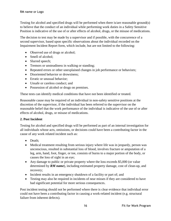Testing for alcohol and specified drugs will be performed when there is/are reasonable ground(s) to believe that the conduct of an individual while performing work duties in a Safety Sensitive Position is indicative of the use of or after effects of alcohol, drugs, or the misuse of medications.

The decision to test may be made by a supervisor and if possible, with the concurrence of a second supervisor, based upon specific observations about the individual recorded on the Impairment Incident Report form, which include, but are not limited to the following:

- Observed use of drugs or alcohol;
- Smell of alcohol;
- Slurred speech;
- Tremors or unsteadiness in walking or standing;
- Repeated errors or other unexplained changes in job performance or behaviors;
- Disoriented behavior or drowsiness:
- Erratic or unusual behavior:
- Unsafe or careless conduct: and
- Possession of alcohol or drugs on premises.

These tests can identify medical conditions that have not been identified or treated.

Reasonable cause may be required of an individual in non-safety sensitive positions at the discretion of the supervisor, if the individual has been referred to the supervisor on the reasonable belief that the work performance of the individual is indicative of the use of or after effects of alcohol, drugs, or misuse of medications.

#### **2. Post Incident**

Testing for alcohol and specified drugs will be performed as part of an internal investigation for all individuals whose acts, omissions, or decisions could have been a contributing factor in the cause of any work related incident such as:

- Death:
- Medical treatment resulting from serious injury where life was in jeopardy, person was unconscious, resulted in substantial loss of blood, involves fracture or amputation of a leg, arm, hand, foot, finger, or toe, consists of burns to a major portion of the body, or causes the loss of sight in an eye;
- Any damage to public or private property where the loss exceeds \$5,000 (or value determined by *RM name*), including estimated property damage, cost of clean-up, and recovery;
- Incident results in an emergency shutdown of a facility or part of; and
- Testing may also be required in incidents of near misses if they are considered to have had significant potential for more serious consequences.

Post incident testing should not be performed where there is clear evidence that individual error could not have been a contributing factor in causing a work-related incident (e.g. structural failure from inherent defects).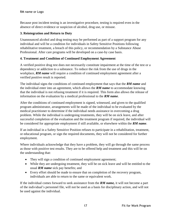Because post incident testing is an investigative procedure, testing is required even in the absence of direct evidence or suspicion of alcohol, drug use, or misuse.

#### **3. Reintegration and Return to Duty**

Unannounced alcohol and drug testing may be performed as part of a support program for any individual and will be a condition for individuals in Safety Sensitive Positions following rehabilitative treatment, a breach of this policy, or recommendation by a Substance Abuse Professional. After care programs will be developed on a case-by case basis.

#### **4. Treatment and Condition of Continued Employment Agreement**

A verified positive drug test does not necessarily constitute impairment at the time of the test or a dependency or addiction to a substance. To reduce the risk from the use of drugs in the workplace, *RM name* will require a condition of continued employment agreement after a verified positive result is reported.

The individual signs the conditions of continued employment that says that the *RM name* and the individual enter into an agreement, which allows the *RM name* to accommodate knowing that the individual is not refusing treatment if it is required. This form also allows the release of information on the evaluation by a medical professional to the *RM name*.

After the conditions of continued employment is signed, witnessed, and given to the qualified program administrator, arrangements will be made of the individual to be evaluated by the medical practitioner to determine if the individual needs assistance in overcoming a drug problem. While the individual is undergoing treatments, they will be on sick leave, and after successful completion of the evaluation and the treatment program if required, the individual will be considered for appropriate employment if still available, or elsewhere within the *RM name*.

If an individual in a Safety Sensitive Position refuses to participate in a rehabilitation, treatment, or educational program, or sign the required documents, they will not be considered for further employment.

Where individuals acknowledge that they have a problem, they will go through the same process as those with positive test results. They are to be offered help and treatment and this will be on the understanding that:

- They will sign a condition of continued employment agreement;
- While they are undergoing treatment, they will be on sick leave and will be entitled to the usual *RM name* sick pay benefits; and
- Every effort should be made to ensure that on completion of the recovery program, individuals are able to return to the same or equivalent work.

If the individual comes forward to seek assistance from the *RM name,* it will not become a part of the individual's personnel file, will not be used as a basis for disciplinary action, and will not be used against the individual.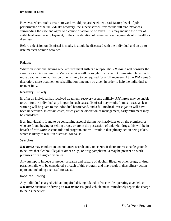However, where such a return to work would jeopardize either a satisfactory level of job performance or the individual's recovery, the supervisor will review the full circumstances surrounding the case and agree to a course of action to be taken. This may include the offer of suitable alternative employment, or the consideration of retirement on the grounds of ill health or dismissal.

Before a decision on dismissal is made, it should be discussed with the individual and an up-todate medical opinion obtained.

#### **Relapse**

Where an individual having received treatment suffers a relapse, the *RM name* will consider the case on its individual merits. Medical advice will be sought in an attempt to ascertain how much more treatment / rehabilitation time is likely to be required for a full recovery. At the *RM name's* discretion, more treatment or rehabilitation time may be given in order to help the individual to recover fully.

#### **Recovery Unlikely**

If, after an individual has received treatment, recovery seems unlikely, *RM name* may be unable to wait for the individual any longer. In such cases, dismissal may result. In most cases, a clear warning will be given to the individual beforehand, and a full medical investigation will have been undertaken. In certain cases, strictly at the discretion of management, early retirement may be considered.

If an individual is found to be consuming alcohol during work activities or on the premises, or who are found buying or selling drugs, or are in the possession of unlawful drugs, this will be in breach of *RM name's* standards and program, and will result in disciplinary action being taken, which is likely to result in dismissal for cause.

#### <span id="page-19-0"></span>Searches

*RM name* may conduct an unannounced search and / or seizure if there are reasonable grounds to believe that alcohol, illegal or other drugs, or drug paraphernalia may be present on work premises or in assigned vehicles.

Any attempt to impede or prevent a search and seizure of alcohol, illegal or other drugs, or drug paraphernalia will be considered a breach of this program and may result in disciplinary action up to and including dismissal for cause.

#### <span id="page-19-1"></span>Impaired Driving

Any individual charged with an impaired driving related offence while operating a vehicle on **RM name** business or driving an **RM name** assigned vehicle must immediately report the charge to their supervisor.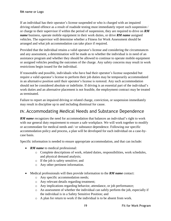If an individual has their operator's license suspended or who is charged with an impaired driving related offence as a result of roadside testing must immediately report such suspension / or charge to their supervisor if within the period of suspension, they are required to drive on *RM name* business, operate mobile equipment in their work duties, or drive *RM name* assigned vehicles. The supervisor will determine whether a Fitness for Work Assessment should be arranged and what job accommodation can take place if required.

Provided that the individual retains a valid operator's license and considering the circumstances and any assessment, a determination will be made as to whether the individual is in need of an assistance program and whether they should be allowed to continue to operate mobile equipment or assigned vehicles pending the outcomes of the charge. Any safety concerns may result in work restrictions begin issued for the individual.

If reasonable and possible, individuals who have had their operator's license suspended but require a valid operator's license to perform their job duties may be temporarily accommodated in an alternative position until their operator's license is restored. Any such accommodation should not be considered absolute or indefinite. If driving is an essential part of the individual's work duties and an alternative placement is not feasible, the employment contract may be treated as terminated.

Failure to report an impaired driving or related charge, conviction, or suspension immediately may result in discipline up to and including dismissal for cause.

### <span id="page-20-0"></span>**IV.** Accommodating Medical Needs and Substance Dependence

**RM name** recognizes the need for accommodation that balances an individual's right to work with our general duty requirement to ensure a safe workplace. We will work together to modify or accommodate for medical needs and / or substance dependence. Following our specific accommodation policy and process, a plan will be developed for each individual on a case-bycase basis.

Specific information is needed to ensure appropriate accommodation, and that can include:

- *RM name* to medical professional:
	- o Complete descriptions of work, related duties, responsibilities, work schedules, and physical demand analysis;
	- o If the job is safety sensitive; and
	- o Any other pertinent information.
- Medical professionals will then provide information to the *RM name* contact:
	- o Any specific accommodation needs;
	- o Any relevant details regarding treatment;
	- o Any implications regarding behavior, attendance, or job performance;
	- o An assessment of whether the individual can safely perform the job, especially if the individual is in a Safety Sensitive Position; and
	- o A plan for return to work if the individual is to be absent from work.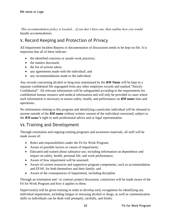*This accommodation policy is located… if you don't have one, then outline how you would handle accommodation.* 

# <span id="page-21-0"></span>**V.** Record Keeping and Protection of Privacy

All Impairment Incident Reports or documentation of discussions needs to be kept on file. It is important that all of these indicate:

- the identified concerns or unsafe work practices;
- the matters discussed:
- the list of actions taken:
- any agreements made with the individual; and
- any recommendations made to the individual.

Any records concerning alcohol or drug tests maintained by the *RM Name* will be kept in a separate confidential file segregated from any other employee records and marked "Strictly Confidential". All relevant information will be safeguarded according to the requirements for confidential human resource and medical information and will only be provided in cases where such information is necessary to ensure safety, health, and performance on *RM name* sites and operations.

No information relating to this program and identifying a particular individual will be released to anyone outside of the *RM name* without written consent of the individual concerned, subject to the *RM name's* right to seek professional advice and or legal representation.

## <span id="page-21-1"></span>**VI.** Training and Development

Through orientation and ongoing training programs and awareness materials, all staff will be made aware of:

- Roles and responsibilities under the Fit for Work Program;
- Aware of possible factors or causes of impairment;
- Educated and trained about substance use, including information on dependence and impact on safety, health, personal life, and work performance;
- Aware of how impairment will be assessed;
- Aware of current resources and supportive program components, such as accommodation and EFAP, for both themselves and their family; and
- Aware of the consequences of impairment, including discipline.

Through an orientation and / or contract project discussion, contractors will be made aware of the Fit for Work Program and how it applies to them.

Supervisor(s) will be given training in order to develop early recognition for identifying any individual impairment, including fatigue or misusing alcohol or drugs, as well as communication skills so individuals can be dealt with promptly, tactfully, and firmly.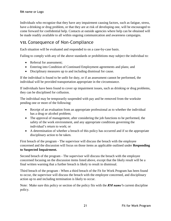Individuals who recognize that they have any impairment causing factors, such as fatigue, stress, have a drinking or drug problem, or that they are at risk of developing one, will be encouraged to come forward for confidential help. Contacts at outside agencies where help can be obtained will be made readily available to all within ongoing communication and awareness campaigns.

### <span id="page-22-0"></span>**VII.** Consequence of Non-Compliance

Each situation will be evaluated and responded to on a case-by-case basis.

Failing to comply with any of the above standards or prohibitions may subject the individual to:

- Referral for assessment;
- Entering into Condition of Continued Employment agreements and plans; and
- Disciplinary measures up to and including dismissal for cause.

If the individual is found to be unfit for duty, or if an assessment cannot be performed, the individual will be provided transportation appropriate in the circumstance.

If individuals have been found to cover up impairment issues, such as drinking or drug problems, they can be disciplined for collusion.

The individual may be temporarily suspended with pay and be removed from the worksite pending one or more of the following:

- Receipt of an evaluation from an appropriate professional as to whether the individual has a drug or alcohol problem;
- The approval of management, after considering the job functions to be performed, the safety of the work environment, and any appropriate conditions governing the individual's return to work; or
- A determination of whether a breach of this policy has occurred and if so the appropriate disciplinary action to be taken.

First breach of the program - The supervisor will discuss the breach with the employee concerned and the discussion will focus on those items as applicable outlined under **Responding to Suspected Impairment.**

Second breach of the program - The supervisor will discuss the breach with the employee concerned focusing on the discussion items listed above, except that the likely result will be a final written warning that a further breach is likely to result in dismissal.

Third breach of the program - When a third breach of the Fit for Work Program has been found to occur, the supervisor will discuss the breach with the employee concerned, and disciplinary action up to and including termination is likely to occur.

Note: Make sure this policy or section of the policy fits with the *RM name's* current discipline policy.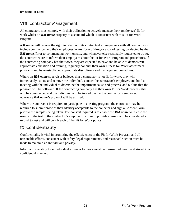# <span id="page-23-0"></span>**VIII.** Contractor Management

All contractors must comply with their obligation to actively manage their employees' fit for work whilst on *RM name* property to a standard which is consistent with this Fit for Work Program.

**RM name** will reserve the right in relation to its contractual arrangements with all contractors to include contractors and their employees in any form of drug or alcohol testing conducted by the *RM name*. Prior to commencing work on site, and whenever else reasonably requested to do so, the contractors are to inform their employees about the Fit for Work Program and procedures. If the contracting company has their own, they are expected to have and be able to demonstrate appropriate education and training, regularly conduct their own Fitness for Work assessment programs and have established appropriate disciplinary and management procedures.

Where an **RM name** supervisor believes that a contractor is not fit for work, they will immediately isolate and remove the individual, contact the contractor's employer, and hold a meeting with the individual to determine the impairment cause and process, and outline that the program will be followed. If the contracting company has their own Fit for Work process, that will be commenced and the individual will be turned over to the contractor's employer, otherwise *RM name's* protocol will be utilized.

Where the contractor is required to participate in a testing program, the contractor may be required to submit proof of their identity acceptable to the collector and sign a Consent Form prior to the samples being taken. The consent required is to enable the *RM name* to release the results of the test to the contractor's employer. Failure to provide consent will be considered a refusal to test and will be a breach of the Fit for Work policy.

# <span id="page-23-1"></span>**IX.** Confidentiality

Confidentiality is vital in promoting the effectiveness of the Fit for Work Program and all reasonable efforts, consistent with safety, legal requirements, and reasonable action must be made to maintain an individual's privacy.

Information relating to an individual's fitness for work must be transmitted, used, and stored in a confidential manner.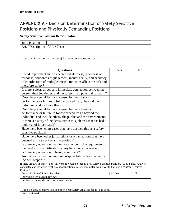# <span id="page-24-0"></span>**APPENDIX A -** Decision Determination of Safety Sensitive Positions and Physically Demanding Positions

#### **Safety Sensitive Position Determination:**

| Job / Position                                                                                                                |                                                                                                                                                                                                                                                                                                  |     |          |
|-------------------------------------------------------------------------------------------------------------------------------|--------------------------------------------------------------------------------------------------------------------------------------------------------------------------------------------------------------------------------------------------------------------------------------------------|-----|----------|
| Brief Description of Job / Tasks:                                                                                             |                                                                                                                                                                                                                                                                                                  |     |          |
|                                                                                                                               |                                                                                                                                                                                                                                                                                                  |     |          |
|                                                                                                                               |                                                                                                                                                                                                                                                                                                  |     |          |
|                                                                                                                               | List of critical performance(s) for safe task completion:                                                                                                                                                                                                                                        |     |          |
|                                                                                                                               |                                                                                                                                                                                                                                                                                                  |     |          |
|                                                                                                                               |                                                                                                                                                                                                                                                                                                  |     |          |
|                                                                                                                               | <b>Ouestions</b>                                                                                                                                                                                                                                                                                 | Yes | $\bf No$ |
|                                                                                                                               | Could impairment such as decreased alertness, quickness of                                                                                                                                                                                                                                       |     |          |
|                                                                                                                               | response, soundness of judgement, mental acuity, and accuracy                                                                                                                                                                                                                                    |     |          |
|                                                                                                                               | of coordination of multiple muscle functions affect the task and                                                                                                                                                                                                                                 |     |          |
| therefore safety?                                                                                                             |                                                                                                                                                                                                                                                                                                  |     |          |
|                                                                                                                               | Is there a clear, direct, and immediate connection between the                                                                                                                                                                                                                                   |     |          |
|                                                                                                                               | person, their job duties, and the safety risk / potential for harm?                                                                                                                                                                                                                              |     |          |
|                                                                                                                               | Does the potential for harm caused by the substandard                                                                                                                                                                                                                                            |     |          |
|                                                                                                                               | performance or failure to follow procedure go beyond the                                                                                                                                                                                                                                         |     |          |
| individual and include others?                                                                                                |                                                                                                                                                                                                                                                                                                  |     |          |
|                                                                                                                               | Does the potential for harm caused by the substandard                                                                                                                                                                                                                                            |     |          |
| performance or failure to follow procedure go beyond the                                                                      |                                                                                                                                                                                                                                                                                                  |     |          |
|                                                                                                                               | individual and include others, the public, and the environment?                                                                                                                                                                                                                                  |     |          |
|                                                                                                                               | Is there a history of incidents within this job task that has had a                                                                                                                                                                                                                              |     |          |
| high risk of injury result?                                                                                                   |                                                                                                                                                                                                                                                                                                  |     |          |
|                                                                                                                               | Have there been court cases that have deemed this as a safety                                                                                                                                                                                                                                    |     |          |
| sensitive position?                                                                                                           | Have there been other jurisdictions or organizations that have                                                                                                                                                                                                                                   |     |          |
| deemed this a safety sensitive position?                                                                                      |                                                                                                                                                                                                                                                                                                  |     |          |
|                                                                                                                               |                                                                                                                                                                                                                                                                                                  |     |          |
| Is there any operation, maintenance, or control of equipment for<br>the production or utilization of any hazardous materials? |                                                                                                                                                                                                                                                                                                  |     |          |
|                                                                                                                               |                                                                                                                                                                                                                                                                                                  |     |          |
| Is there any operation of heavy equipment?<br>Are there any direct operational responsibilities for emergency                 |                                                                                                                                                                                                                                                                                                  |     |          |
| incident response?                                                                                                            |                                                                                                                                                                                                                                                                                                  |     |          |
|                                                                                                                               | If there are two or more "Yes" answers, it would be seen to be a Safety Sensitive Position. A Job Safety Analysis                                                                                                                                                                                |     |          |
|                                                                                                                               | $\mathbf{1}$ and $\mathbf{1}$ and $\mathbf{1}$ and $\mathbf{1}$ and $\mathbf{1}$ and $\mathbf{1}$ and $\mathbf{1}$ and $\mathbf{1}$ and $\mathbf{1}$ and $\mathbf{1}$ and $\mathbf{1}$ and $\mathbf{1}$ and $\mathbf{1}$ and $\mathbf{1}$ and $\mathbf{1}$ and $\mathbf{1}$ and $\mathbf{1}$ and |     |          |

conducted and reviewed by the joint occupational safety committee would verify that it is a "Safety Sensitive Position".

| Determination of Safety Sensitive                                                  | Yes | N <sub>0</sub> |  |
|------------------------------------------------------------------------------------|-----|----------------|--|
| Individuals involved in review:                                                    |     |                |  |
| Further recommended actions or assessments:                                        |     |                |  |
|                                                                                    |     |                |  |
|                                                                                    |     |                |  |
| If it is a Safety Sensitive Position, then a Job Safety Analysis needs to be done. |     |                |  |
| Date Reviewed:                                                                     |     |                |  |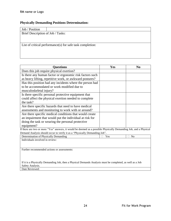#### **Physically Demanding Positions Determination:**

| Job / Position                    |                                                           |
|-----------------------------------|-----------------------------------------------------------|
| Brief Description of Job / Tasks: |                                                           |
|                                   |                                                           |
|                                   |                                                           |
|                                   | List of critical performance(s) for safe task completion: |
|                                   |                                                           |
|                                   |                                                           |

| <b>Questions</b>                                                                                                  | Yes | N <sub>0</sub> |
|-------------------------------------------------------------------------------------------------------------------|-----|----------------|
| Does this job require physical exertion?                                                                          |     |                |
| Is there any human factor or ergonomic risk factors such                                                          |     |                |
| as heavy lifting, repetitive work, or awkward postures?                                                           |     |                |
| Has this position had any incidents where the person had                                                          |     |                |
| to be accommodated or work modified due to                                                                        |     |                |
| musculoskeletal injury?                                                                                           |     |                |
| Is there specific personal protective equipment that                                                              |     |                |
| could affect the physical exertion needed to complete                                                             |     |                |
| the task?                                                                                                         |     |                |
| Are there specific hazards that need to have medical                                                              |     |                |
| assessments and monitoring to work with or around?                                                                |     |                |
| Are there specific medical conditions that would create                                                           |     |                |
| an impairment that would put the individual at risk for                                                           |     |                |
| doing the task or wearing the personal protective                                                                 |     |                |
| equipment?                                                                                                        |     |                |
| If there are two or more "Yes" answers, it would be deemed as a possible Physically Demanding Job, and a Physical |     |                |
| Demand Analysis should occur to verify it as a "Physically Demanding Job".                                        |     |                |

Determination of Physically Demanding <br> 2 No Individuals involved in review: Further recommended actions or assessments: If it is a Physically Demanding Job, then a Physical Demands Analysis must be completed, as well as a Job Safety Analysis.

<span id="page-25-0"></span>Date Reviewed: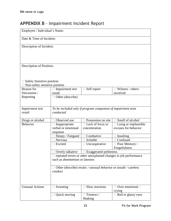# <span id="page-26-0"></span>**APPENDIX B** - Impairment Incident Report

| Employee / Individual's Name:                         |                                                                                                           |                               |                                     |
|-------------------------------------------------------|-----------------------------------------------------------------------------------------------------------|-------------------------------|-------------------------------------|
| Date & Time of Incident:                              |                                                                                                           |                               |                                     |
| Description of Incident:                              |                                                                                                           |                               |                                     |
| Description of Position:<br>Safety Sensitive position |                                                                                                           |                               |                                     |
| Non-safety sensitive position                         |                                                                                                           |                               |                                     |
| Reason for<br>Discussion /                            | $\Box$ Impairment test<br>result                                                                          | $\Box$ Self report            | $\Box$ Witness / others<br>involved |
| Reporting                                             | $\Box$ Other (describe)                                                                                   |                               |                                     |
| Impairment test<br>result                             | To be included only if program component of impairment tests<br>conducted                                 |                               |                                     |
| Drugs or alcohol                                      | Observed use                                                                                              | Possession on site            | Smell of alcohol                    |
| <b>Behavior</b>                                       | $\Box$ Inappropriate                                                                                      | $\Box$ Lack of focus or       | $\Box$ Lying or implausible         |
|                                                       | verbal or emotional<br>response                                                                           | concentration                 | excuses for behavior                |
|                                                       | $\Box$ Sleepy / Fatigued                                                                                  | Combative                     | Insulting                           |
|                                                       | Nervous                                                                                                   | Irritable                     | Confused                            |
|                                                       | Excited                                                                                                   | $\Box$ Uncooperative          | □ Poor Memory /<br>Forgetfulness    |
|                                                       | Overly talkative                                                                                          | <b>Exaggerated politeness</b> |                                     |
|                                                       | $\Box$ repeated errors or other unexplained changes in job performance<br>such as absenteeism or lateness |                               |                                     |
|                                                       | Other (describe) erratic / unusual behavior or unsafe / careless<br>conduct                               |                               |                                     |
| <b>Unusual Actions</b>                                | $\Box$ Sweating                                                                                           | Slow reactions                | $\Box$ Over emotional –<br>crying   |
|                                                       | $\Box$ Quick moving                                                                                       | $\Box$ Tremors /<br>Shaking   | $\Box$ Red or glassy eyes           |